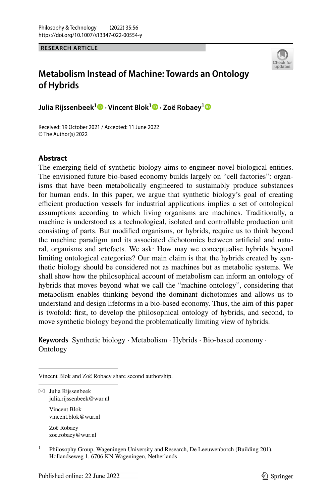**RESEARCH ARTICLE**



# **Metabolism Instead of Machine: Towards an Ontology of Hybrids**

**Julia Rijssenbeek1 · Vincent Blok1  [·](http://orcid.org/0000-0002-9086-4544) Zoë Robaey[1](http://orcid.org/0000-0002-0501-2030)**

Received: 19 October 2021 / Accepted: 11 June 2022 © The Author(s) 2022

# **Abstract**

The emerging feld of synthetic biology aims to engineer novel biological entities. The envisioned future bio-based economy builds largely on "cell factories": organisms that have been metabolically engineered to sustainably produce substances for human ends. In this paper, we argue that synthetic biology's goal of creating efficient production vessels for industrial applications implies a set of ontological assumptions according to which living organisms are machines. Traditionally, a machine is understood as a technological, isolated and controllable production unit consisting of parts. But modifed organisms, or hybrids, require us to think beyond the machine paradigm and its associated dichotomies between artifcial and natural, organisms and artefacts. We ask: How may we conceptualise hybrids beyond limiting ontological categories? Our main claim is that the hybrids created by synthetic biology should be considered not as machines but as metabolic systems. We shall show how the philosophical account of metabolism can inform an ontology of hybrids that moves beyond what we call the "machine ontology", considering that metabolism enables thinking beyond the dominant dichotomies and allows us to understand and design lifeforms in a bio-based economy. Thus, the aim of this paper is twofold: frst, to develop the philosophical ontology of hybrids, and second, to move synthetic biology beyond the problematically limiting view of hybrids.

**Keywords** Synthetic biology · Metabolism · Hybrids · Bio-based economy · Ontology

Vincent Blok and Zoë Robaey share second authorship.

 $\boxtimes$  Julia Rijssenbeek julia.rijssenbeek@wur.nl

> Vincent Blok vincent.blok@wur.nl

Zoë Robaey zoe.robaey@wur.nl

<sup>1</sup> Philosophy Group, Wageningen University and Research, De Leeuwenborch (Building 201), Hollandseweg 1, 6706 KN Wageningen, Netherlands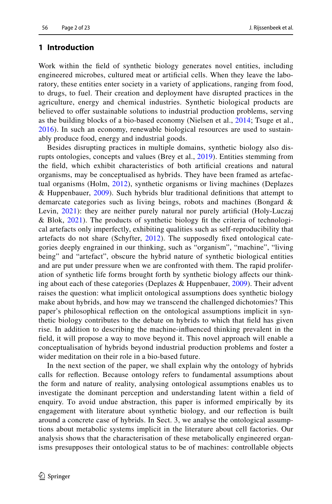# **1 Introduction**

Work within the feld of synthetic biology generates novel entities, including engineered microbes, cultured meat or artifcial cells. When they leave the laboratory, these entities enter society in a variety of applications, ranging from food, to drugs, to fuel. Their creation and deployment have disrupted practices in the agriculture, energy and chemical industries. Synthetic biological products are believed to offer sustainable solutions to industrial production problems, serving as the building blocks of a bio-based economy (Nielsen et al., [2014](#page-22-0); Tsuge et al., [2016\)](#page-22-1). In such an economy, renewable biological resources are used to sustainably produce food, energy and industrial goods.

Besides disrupting practices in multiple domains, synthetic biology also disrupts ontologies, concepts and values (Brey et al., [2019\)](#page-20-0). Entities stemming from the feld, which exhibit characteristics of both artifcial creations and natural organisms, may be conceptualised as hybrids. They have been framed as artefactual organisms (Holm, [2012](#page-21-0)), synthetic organisms or living machines (Deplazes & Huppenbauer, [2009\)](#page-20-1). Such hybrids blur traditional defnitions that attempt to demarcate categories such as living beings, robots and machines (Bongard & Levin, [2021](#page-20-2)): they are neither purely natural nor purely artifcial (Holy-Luczaj & Blok, [2021\)](#page-21-1). The products of synthetic biology ft the criteria of technological artefacts only imperfectly, exhibiting qualities such as self-reproducibility that artefacts do not share (Schyfter, [2012\)](#page-22-2). The supposedly fxed ontological categories deeply engrained in our thinking, such as "organism", "machine", "living being" and "artefact", obscure the hybrid nature of synthetic biological entities and are put under pressure when we are confronted with them. The rapid proliferation of synthetic life forms brought forth by synthetic biology afects our thinking about each of these categories (Deplazes & Huppenbauer, [2009\)](#page-20-1). Their advent raises the question: what implicit ontological assumptions does synthetic biology make about hybrids, and how may we transcend the challenged dichotomies? This paper's philosophical refection on the ontological assumptions implicit in synthetic biology contributes to the debate on hybrids to which that feld has given rise. In addition to describing the machine-infuenced thinking prevalent in the feld, it will propose a way to move beyond it. This novel approach will enable a conceptualisation of hybrids beyond industrial production problems and foster a wider meditation on their role in a bio-based future.

In the next section of the paper, we shall explain why the ontology of hybrids calls for refection. Because ontology refers to fundamental assumptions about the form and nature of reality, analysing ontological assumptions enables us to investigate the dominant perception and understanding latent within a feld of enquiry. To avoid undue abstraction, this paper is informed empirically by its engagement with literature about synthetic biology, and our refection is built around a concrete case of hybrids. In Sect. 3, we analyse the ontological assumptions about metabolic systems implicit in the literature about cell factories. Our analysis shows that the characterisation of these metabolically engineered organisms presupposes their ontological status to be of machines: controllable objects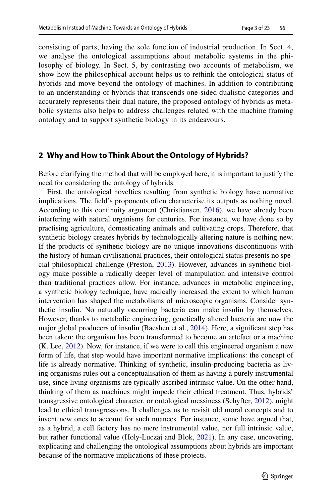consisting of parts, having the sole function of industrial production. In Sect. 4, we analyse the ontological assumptions about metabolic systems in the philosophy of biology. In Sect. 5, by contrasting two accounts of metabolism, we show how the philosophical account helps us to rethink the ontological status of hybrids and move beyond the ontology of machines. In addition to contributing to an understanding of hybrids that transcends one-sided dualistic categories and accurately represents their dual nature, the proposed ontology of hybrids as metabolic systems also helps to address challenges related with the machine framing ontology and to support synthetic biology in its endeavours.

# **2 Why and How to Think About the Ontology of Hybrids?**

Before clarifying the method that will be employed here, it is important to justify the need for considering the ontology of hybrids.

First, the ontological novelties resulting from synthetic biology have normative implications. The feld's proponents often characterise its outputs as nothing novel. According to this continuity argument (Christiansen, [2016](#page-20-3)), we have already been interfering with natural organisms for centuries. For instance, we have done so by practising agriculture, domesticating animals and cultivating crops. Therefore, that synthetic biology creates hybrids by technologically altering nature is nothing new. If the products of synthetic biology are no unique innovations discontinuous with the history of human civilisational practices, their ontological status presents no special philosophical challenge (Preston, [2013](#page-22-3)). However, advances in synthetic biology make possible a radically deeper level of manipulation and intensive control than traditional practices allow. For instance, advances in metabolic engineering, a synthetic biology technique, have radically increased the extent to which human intervention has shaped the metabolisms of microscopic organisms. Consider synthetic insulin. No naturally occurring bacteria can make insulin by themselves. However, thanks to metabolic engineering, genetically altered bacteria are now the major global producers of insulin (Baeshen et al., [2014\)](#page-20-4). Here, a signifcant step has been taken: the organism has been transformed to become an artefact or a machine (K. Lee, [2012\)](#page-21-2). Now, for instance, if we were to call this engineered organism a new form of life, that step would have important normative implications: the concept of life is already normative. Thinking of synthetic, insulin-producing bacteria as living organisms rules out a conceptualisation of them as having a purely instrumental use, since living organisms are typically ascribed intrinsic value. On the other hand, thinking of them as machines might impede their ethical treatment. Thus, hybrids' transgressive ontological character, or ontological messiness (Schyfter, [2012\)](#page-22-2), might lead to ethical transgressions. It challenges us to revisit old moral concepts and to invent new ones to account for such nuances. For instance, some have argued that, as a hybrid, a cell factory has no mere instrumental value, nor full intrinsic value, but rather functional value (Holy-Luczaj and Blok, [2021\)](#page-21-1). In any case, uncovering, explicating and challenging the ontological assumptions about hybrids are important because of the normative implications of these projects.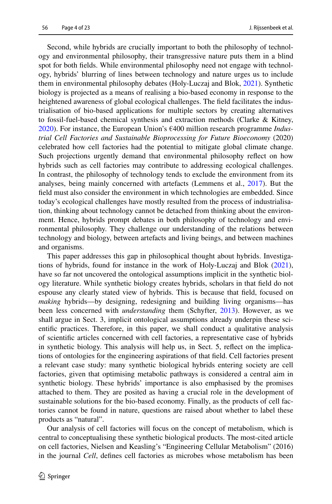Second, while hybrids are crucially important to both the philosophy of technology and environmental philosophy, their transgressive nature puts them in a blind spot for both felds. While environmental philosophy need not engage with technology, hybrids' blurring of lines between technology and nature urges us to include them in environmental philosophy debates (Holy-Luczaj and Blok, [2021](#page-21-1)). Synthetic biology is projected as a means of realising a bio-based economy in response to the heightened awareness of global ecological challenges. The feld facilitates the industrialisation of bio-based applications for multiple sectors by creating alternatives to fossil-fuel-based chemical synthesis and extraction methods (Clarke & Kitney, [2020](#page-20-5)). For instance, the European Union's €400 million research programme *Industrial Cell Factories and Sustainable Bioprocessing for Future Bioeconomy* (2020) celebrated how cell factories had the potential to mitigate global climate change. Such projections urgently demand that environmental philosophy refect on how hybrids such as cell factories may contribute to addressing ecological challenges. In contrast, the philosophy of technology tends to exclude the environment from its analyses, being mainly concerned with artefacts (Lemmens et al., [2017\)](#page-21-3). But the feld must also consider the environment in which technologies are embedded. Since today's ecological challenges have mostly resulted from the process of industrialisation, thinking about technology cannot be detached from thinking about the environment. Hence, hybrids prompt debates in both philosophy of technology and environmental philosophy. They challenge our understanding of the relations between technology and biology, between artefacts and living beings, and between machines and organisms.

This paper addresses this gap in philosophical thought about hybrids. Investigations of hybrids, found for instance in the work of Holy-Luczaj and Blok ([2021\)](#page-21-1), have so far not uncovered the ontological assumptions implicit in the synthetic biology literature. While synthetic biology creates hybrids, scholars in that feld do not espouse any clearly stated view of hybrids. This is because that feld, focused on *making* hybrids—by designing, redesigning and building living organisms—has been less concerned with *understanding* them (Schyfter, [2013\)](#page-22-4). However, as we shall argue in Sect. 3, implicit ontological assumptions already underpin these scientifc practices. Therefore, in this paper, we shall conduct a qualitative analysis of scientifc articles concerned with cell factories, a representative case of hybrids in synthetic biology. This analysis will help us, in Sect. 5, refect on the implications of ontologies for the engineering aspirations of that feld. Cell factories present a relevant case study: many synthetic biological hybrids entering society are cell factories, given that optimising metabolic pathways is considered a central aim in synthetic biology. These hybrids' importance is also emphasised by the promises attached to them. They are posited as having a crucial role in the development of sustainable solutions for the bio-based economy. Finally, as the products of cell factories cannot be found in nature, questions are raised about whether to label these products as "natural".

Our analysis of cell factories will focus on the concept of metabolism, which is central to conceptualising these synthetic biological products. The most-cited article on cell factories, Nielsen and Keasling's "Engineering Cellular Metabolism" (2016) in the journal *Cell*, defnes cell factories as microbes whose metabolism has been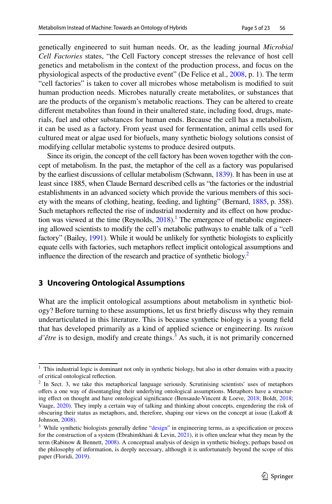genetically engineered to suit human needs. Or, as the leading journal *Microbial Cell Factories* states, "the Cell Factory concept stresses the relevance of host cell genetics and metabolism in the context of the production process, and focus on the physiological aspects of the productive event" (De Felice et al., [2008](#page-20-6), p. 1). The term "cell factories" is taken to cover all microbes whose metabolism is modifed to suit human production needs. Microbes naturally create metabolites, or substances that are the products of the organism's metabolic reactions. They can be altered to create diferent metabolites than found in their unaltered state, including food, drugs, materials, fuel and other substances for human ends. Because the cell has a metabolism, it can be used as a factory. From yeast used for fermentation, animal cells used for cultured meat or algae used for biofuels, many synthetic biology solutions consist of modifying cellular metabolic systems to produce desired outputs.

Since its origin, the concept of the cell factory has been woven together with the concept of metabolism. In the past, the metaphor of the cell as a factory was popularised by the earliest discussions of cellular metabolism (Schwann, [1839](#page-22-5)). It has been in use at least since 1885, when Claude Bernard described cells as "the factories or the industrial establishments in an advanced society which provide the various members of this society with the means of clothing, heating, feeding, and lighting" (Bernard, [1885](#page-20-7), p. 358). Such metaphors refected the rise of industrial modernity and its efect on how production was viewed at the time  $(Reynolds, 2018)$  $(Reynolds, 2018)$ .<sup>1</sup> The emergence of metabolic engineering allowed scientists to modify the cell's metabolic pathways to enable talk of a "cell factory" (Bailey, [1991](#page-20-8)). While it would be unlikely for synthetic biologists to explicitly equate cells with factories, such metaphors refect implicit ontological assumptions and influence the direction of the research and practice of synthetic biology.<sup>2</sup>

# **3 Uncovering Ontological Assumptions**

What are the implicit ontological assumptions about metabolism in synthetic biology? Before turning to these assumptions, let us frst briefy discuss why they remain underarticulated in this literature. This is because synthetic biology is a young feld that has developed primarily as a kind of applied science or engineering. Its *raison*  d'être is to design, modify and create things.<sup>[3](#page-4-2)</sup> As such, it is not primarily concerned

<span id="page-4-0"></span><sup>&</sup>lt;sup>1</sup> This industrial logic is dominant not only in synthetic biology, but also in other domains with a paucity of critical ontological refection.

<span id="page-4-1"></span><sup>&</sup>lt;sup>2</sup> In Sect. 3, we take this metaphorical language seriously. Scrutinising scientists' uses of metaphors ofers a one way of disentangling their underlying ontological assumptions. Metaphors have a structuring efect on thought and have ontological signifcance (Bensaude-Vincent & Loeve, [2018](#page-20-9); Boldt, [2018](#page-20-10); Vaage, [2020](#page-22-7)). They imply a certain way of talking and thinking about concepts, engendering the risk of obscuring their status as metaphors, and, therefore, shaping our views on the concept at issue (Lakof & Johnson, [2008](#page-21-4)).

<span id="page-4-2"></span><sup>&</sup>lt;sup>3</sup> While synthetic biologists generally define "[design"](#page-16-0) in engineering terms, as a specification or process for the construction of a system (Ebrahimkhani & Levin, [2021](#page-20-11)), it is often unclear what they mean by the term (Rabinow & Bennett, [2008\)](#page-22-8). A conceptual analysis of design in synthetic biology, perhaps based on the philosophy of information, is deeply necessary, although it is unfortunately beyond the scope of this paper (Floridi, [2019](#page-21-5)).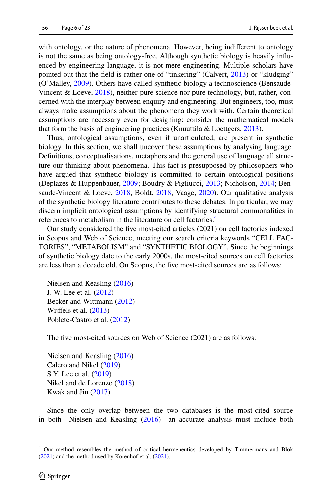with ontology, or the nature of phenomena. However, being indifferent to ontology is not the same as being ontology-free. Although synthetic biology is heavily infuenced by engineering language, it is not mere engineering. Multiple scholars have pointed out that the feld is rather one of "tinkering" (Calvert, [2013](#page-20-12)) or "kludging" (O'Malley, [2009\)](#page-22-9). Others have called synthetic biology a technoscience (Bensaude-Vincent & Loeve, [2018\)](#page-20-9), neither pure science nor pure technology, but, rather, concerned with the interplay between enquiry and engineering. But engineers, too, must always make assumptions about the phenomena they work with. Certain theoretical assumptions are necessary even for designing: consider the mathematical models that form the basis of engineering practices (Knuuttila & Loettgers, [2013\)](#page-21-6).

Thus, ontological assumptions, even if unarticulated, are present in synthetic biology. In this section, we shall uncover these assumptions by analysing language. Defnitions, conceptualisations, metaphors and the general use of language all structure our thinking about phenomena. This fact is presupposed by philosophers who have argued that synthetic biology is committed to certain ontological positions (Deplazes & Huppenbauer, [2009;](#page-20-1) Boudry & Pigliucci, [2013](#page-20-13); Nicholson, [2014;](#page-21-7) Bensaude-Vincent & Loeve, [2018;](#page-20-9) Boldt, [2018;](#page-20-10) Vaage, [2020](#page-22-7)). Our qualitative analysis of the synthetic biology literature contributes to these debates. In particular, we may discern implicit ontological assumptions by identifying structural commonalities in references to metabolism in the literature on cell factories.<sup>[4](#page-5-0)</sup>

Our study considered the fve most-cited articles (2021) on cell factories indexed in Scopus and Web of Science, meeting our search criteria keywords "CELL FAC-TORIES", "METABOLISM" and "SYNTHETIC BIOLOGY". Since the beginnings of synthetic biology date to the early 2000s, the most-cited sources on cell factories are less than a decade old. On Scopus, the fve most-cited sources are as follows:

Nielsen and Keasling ([2016\)](#page-22-10) J. W. Lee et al. [\(2012](#page-21-8)) Becker and Wittmann [\(2012](#page-20-14)) Wijfels et al. ([2013\)](#page-22-11) Poblete-Castro et al. [\(2012](#page-22-12))

The five most-cited sources on Web of Science (2021) are as follows:

Nielsen and Keasling ([2016\)](#page-22-10) Calero and Nikel [\(2019](#page-20-15)) S.Y. Lee et al. [\(2019](#page-21-9)) Nikel and de Lorenzo ([2018\)](#page-22-13) Kwak and Jin ([2017\)](#page-21-4)

Since the only overlap between the two databases is the most-cited source in both—Nielsen and Keasling ([2016\)](#page-22-10)—an accurate analysis must include both

<span id="page-5-0"></span><sup>4</sup> Our method resembles the method of critical hermeneutics developed by Timmermans and Blok ([2021\)](#page-22-14) and the method used by Korenhof et al. ([2021\)](#page-21-10).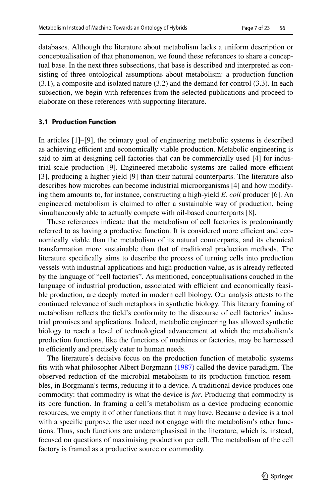databases. Although the literature about metabolism lacks a uniform description or conceptualisation of that phenomenon, we found these references to share a conceptual base. In the next three subsections, that base is described and interpreted as consisting of three ontological assumptions about metabolism: a production function (3.1), a composite and isolated nature (3.2) and the demand for control (3.3). In each subsection, we begin with references from the selected publications and proceed to elaborate on these references with supporting literature.

### **3.1 Production Function**

In articles [1]–[9], the primary goal of engineering metabolic systems is described as achieving efficient and economically viable production. Metabolic engineering is said to aim at designing cell factories that can be commercially used [4] for industrial-scale production [9]. Engineered metabolic systems are called more efficient [3], producing a higher yield [9] than their natural counterparts. The literature also describes how microbes can become industrial microorganisms [4] and how modifying them amounts to, for instance, constructing a high-yield *E. coli* producer [6]. An engineered metabolism is claimed to ofer a sustainable way of production, being simultaneously able to actually compete with oil-based counterparts [8].

These references indicate that the metabolism of cell factories is predominantly referred to as having a productive function. It is considered more efficient and economically viable than the metabolism of its natural counterparts, and its chemical transformation more sustainable than that of traditional production methods. The literature specifcally aims to describe the process of turning cells into production vessels with industrial applications and high production value, as is already refected by the language of "cell factories". As mentioned, conceptualisations couched in the language of industrial production, associated with efficient and economically feasible production, are deeply rooted in modern cell biology. Our analysis attests to the continued relevance of such metaphors in synthetic biology. This literary framing of metabolism refects the feld's conformity to the discourse of cell factories' industrial promises and applications. Indeed, metabolic engineering has allowed synthetic biology to reach a level of technological advancement at which the metabolism's production functions, like the functions of machines or factories, may be harnessed to efficiently and precisely cater to human needs.

The literature's decisive focus on the production function of metabolic systems fts with what philosopher Albert Borgmann [\(1987](#page-20-16)) called the device paradigm. The observed reduction of the microbial metabolism to its production function resembles, in Borgmann's terms, reducing it to a device. A traditional device produces one commodity: that commodity is what the device is *for*. Producing that commodity is its core function. In framing a cell's metabolism as a device producing economic resources, we empty it of other functions that it may have. Because a device is a tool with a specific purpose, the user need not engage with the metabolism's other functions. Thus, such functions are underemphasised in the literature, which is, instead, focused on questions of maximising production per cell. The metabolism of the cell factory is framed as a productive source or commodity.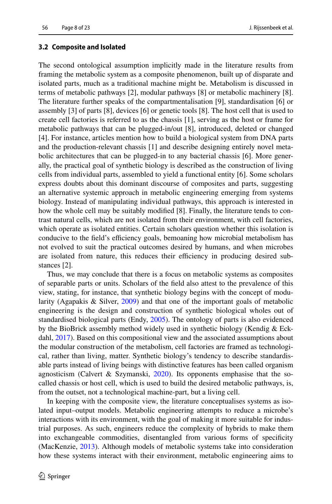### **3.2 Composite and Isolated**

The second ontological assumption implicitly made in the literature results from framing the metabolic system as a composite phenomenon, built up of disparate and isolated parts, much as a traditional machine might be. Metabolism is discussed in terms of metabolic pathways [2], modular pathways [8] or metabolic machinery [8]. The literature further speaks of the compartmentalisation [9], standardisation [6] or assembly [3] of parts [8], devices [6] or genetic tools [8]. The host cell that is used to create cell factories is referred to as the chassis [1], serving as the host or frame for metabolic pathways that can be plugged-in/out [8], introduced, deleted or changed [4]. For instance, articles mention how to build a biological system from DNA parts and the production-relevant chassis [1] and describe designing entirely novel metabolic architectures that can be plugged-in to any bacterial chassis [6]. More generally, the practical goal of synthetic biology is described as the construction of living cells from individual parts, assembled to yield a functional entity [6]. Some scholars express doubts about this dominant discourse of composites and parts, suggesting an alternative systemic approach in metabolic engineering emerging from systems biology. Instead of manipulating individual pathways, this approach is interested in how the whole cell may be suitably modifed [8]. Finally, the literature tends to contrast natural cells, which are not isolated from their environment, with cell factories, which operate as isolated entities. Certain scholars question whether this isolation is conducive to the field's efficiency goals, bemoaning how microbial metabolism has not evolved to suit the practical outcomes desired by humans, and when microbes are isolated from nature, this reduces their efficiency in producing desired substances [2].

Thus, we may conclude that there is a focus on metabolic systems as composites of separable parts or units. Scholars of the feld also attest to the prevalence of this view, stating, for instance, that synthetic biology begins with the concept of modularity (Agapakis & Silver, [2009\)](#page-19-0) and that one of the important goals of metabolic engineering is the design and construction of synthetic biological wholes out of standardised biological parts (Endy, [2005](#page-21-5)). The ontology of parts is also evidenced by the BioBrick assembly method widely used in synthetic biology (Kendig & Eckdahl, [2017](#page-21-11)). Based on this compositional view and the associated assumptions about the modular construction of the metabolism, cell factories are framed as technological, rather than living, matter. Synthetic biology's tendency to describe standardisable parts instead of living beings with distinctive features has been called organism agnosticism (Calvert & Szymanski,  $2020$ ). Its opponents emphasise that the socalled chassis or host cell, which is used to build the desired metabolic pathways, is, from the outset, not a technological machine-part, but a living cell.

In keeping with the composite view, the literature conceptualises systems as isolated input–output models. Metabolic engineering attempts to reduce a microbe's interactions with its environment, with the goal of making it more suitable for industrial purposes. As such, engineers reduce the complexity of hybrids to make them into exchangeable commodities, disentangled from various forms of specifcity (MacKenzie, [2013\)](#page-21-12). Although models of metabolic systems take into consideration how these systems interact with their environment, metabolic engineering aims to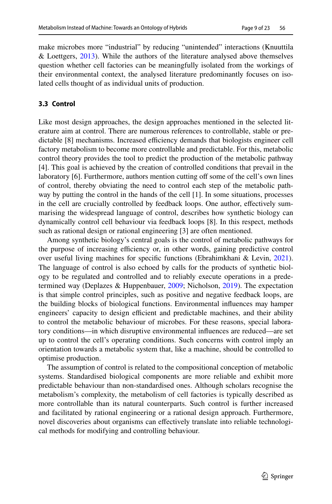make microbes more "industrial" by reducing "unintended" interactions (Knuuttila & Loettgers, [2013\)](#page-21-6). While the authors of the literature analysed above themselves question whether cell factories can be meaningfully isolated from the workings of their environmental context, the analysed literature predominantly focuses on isolated cells thought of as individual units of production.

# **3.3 Control**

Like most design approaches, the design approaches mentioned in the selected literature aim at control. There are numerous references to controllable, stable or predictable [8] mechanisms. Increased efficiency demands that biologists engineer cell factory metabolism to become more controllable and predictable. For this, metabolic control theory provides the tool to predict the production of the metabolic pathway [4]. This goal is achieved by the creation of controlled conditions that prevail in the laboratory [6]. Furthermore, authors mention cutting off some of the cell's own lines of control, thereby obviating the need to control each step of the metabolic pathway by putting the control in the hands of the cell [1]. In some situations, processes in the cell are crucially controlled by feedback loops. One author, efectively summarising the widespread language of control, describes how synthetic biology can dynamically control cell behaviour via feedback loops [8]. In this respect, methods such as rational design or rational engineering [3] are often mentioned.

Among synthetic biology's central goals is the control of metabolic pathways for the purpose of increasing efficiency or, in other words, gaining predictive control over useful living machines for specifc functions (Ebrahimkhani & Levin, [2021\)](#page-20-18). The language of control is also echoed by calls for the products of synthetic biology to be regulated and controlled and to reliably execute operations in a predetermined way (Deplazes & Huppenbauer, [2009](#page-20-1); Nicholson, [2019\)](#page-21-13). The expectation is that simple control principles, such as positive and negative feedback loops, are the building blocks of biological functions. Environmental infuences may hamper engineers' capacity to design efficient and predictable machines, and their ability to control the metabolic behaviour of microbes. For these reasons, special laboratory conditions—in which disruptive environmental infuences are reduced—are set up to control the cell's operating conditions. Such concerns with control imply an orientation towards a metabolic system that, like a machine, should be controlled to optimise production.

The assumption of control is related to the compositional conception of metabolic systems. Standardised biological components are more reliable and exhibit more predictable behaviour than non-standardised ones. Although scholars recognise the metabolism's complexity, the metabolism of cell factories is typically described as more controllable than its natural counterparts. Such control is further increased and facilitated by rational engineering or a rational design approach. Furthermore, novel discoveries about organisms can efectively translate into reliable technological methods for modifying and controlling behaviour.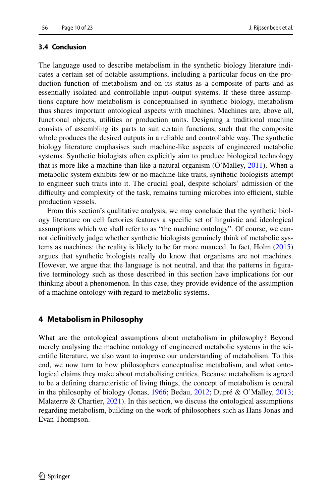## **3.4 Conclusion**

The language used to describe metabolism in the synthetic biology literature indicates a certain set of notable assumptions, including a particular focus on the production function of metabolism and on its status as a composite of parts and as essentially isolated and controllable input–output systems. If these three assumptions capture how metabolism is conceptualised in synthetic biology, metabolism thus shares important ontological aspects with machines. Machines are, above all, functional objects, utilities or production units. Designing a traditional machine consists of assembling its parts to suit certain functions, such that the composite whole produces the desired outputs in a reliable and controllable way. The synthetic biology literature emphasises such machine-like aspects of engineered metabolic systems. Synthetic biologists often explicitly aim to produce biological technology that is more like a machine than like a natural organism (O'Malley, [2011](#page-22-15)). When a metabolic system exhibits few or no machine-like traits, synthetic biologists attempt to engineer such traits into it. The crucial goal, despite scholars' admission of the difficulty and complexity of the task, remains turning microbes into efficient, stable production vessels.

From this section's qualitative analysis, we may conclude that the synthetic biology literature on cell factories features a specifc set of linguistic and ideological assumptions which we shall refer to as "the machine ontology". Of course, we cannot defnitively judge whether synthetic biologists genuinely think of metabolic systems as machines: the reality is likely to be far more nuanced. In fact, Holm ([2015\)](#page-21-14) argues that synthetic biologists really do know that organisms are not machines. However, we argue that the language is not neutral, and that the patterns in fgurative terminology such as those described in this section have implications for our thinking about a phenomenon. In this case, they provide evidence of the assumption of a machine ontology with regard to metabolic systems.

# **4 Metabolism in Philosophy**

What are the ontological assumptions about metabolism in philosophy? Beyond merely analysing the machine ontology of engineered metabolic systems in the scientifc literature, we also want to improve our understanding of metabolism. To this end, we now turn to how philosophers conceptualise metabolism, and what ontological claims they make about metabolising entities. Because metabolism is agreed to be a defning characteristic of living things, the concept of metabolism is central in the philosophy of biology (Jonas, [1966](#page-21-15); Bedau, [2012](#page-20-19); Dupré & O'Malley, [2013;](#page-20-11) Malaterre  $\&$  Chartier, [2021\)](#page-21-16). In this section, we discuss the ontological assumptions regarding metabolism, building on the work of philosophers such as Hans Jonas and Evan Thompson.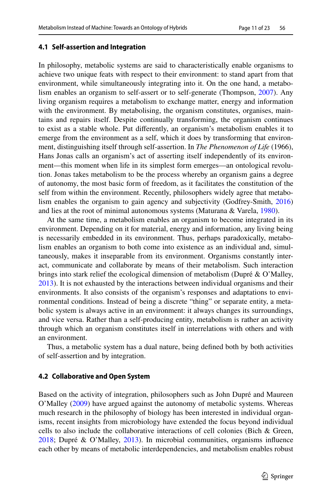### **4.1 Self‑assertion and Integration**

In philosophy, metabolic systems are said to characteristically enable organisms to achieve two unique feats with respect to their environment: to stand apart from that environment, while simultaneously integrating into it. On the one hand, a metabolism enables an organism to self-assert or to self-generate (Thompson, [2007](#page-22-16)). Any living organism requires a metabolism to exchange matter, energy and information with the environment. By metabolising, the organism constitutes, organises, maintains and repairs itself. Despite continually transforming, the organism continues to exist as a stable whole. Put diferently, an organism's metabolism enables it to emerge from the environment as a self, which it does by transforming that environment, distinguishing itself through self-assertion. In *The Phenomenon of Life* (1966), Hans Jonas calls an organism's act of asserting itself independently of its environment—this moment when life in its simplest form emerges—an ontological revolution. Jonas takes metabolism to be the process whereby an organism gains a degree of autonomy, the most basic form of freedom, as it facilitates the constitution of the self from within the environment. Recently, philosophers widely agree that metabolism enables the organism to gain agency and subjectivity (Godfrey-Smith, [2016\)](#page-21-17) and lies at the root of minimal autonomous systems (Maturana & Varela, [1980\)](#page-21-18).

At the same time, a metabolism enables an organism to become integrated in its environment. Depending on it for material, energy and information, any living being is necessarily embedded in its environment. Thus, perhaps paradoxically, metabolism enables an organism to both come into existence as an individual and, simultaneously, makes it inseparable from its environment. Organisms constantly interact, communicate and collaborate by means of their metabolism. Such interaction brings into stark relief the ecological dimension of metabolism (Dupré & O'Malley, [2013](#page-20-11)). It is not exhausted by the interactions between individual organisms and their environments. It also consists of the organism's responses and adaptations to environmental conditions. Instead of being a discrete "thing" or separate entity, a metabolic system is always active in an environment: it always changes its surroundings, and vice versa. Rather than a self-producing entity, metabolism is rather an activity through which an organism constitutes itself in interrelations with others and with an environment.

Thus, a metabolic system has a dual nature, being defned both by both activities of self-assertion and by integration.

### **4.2 Collaborative and Open System**

Based on the activity of integration, philosophers such as John Dupré and Maureen O'Malley ([2009\)](#page-22-9) have argued against the autonomy of metabolic systems. Whereas much research in the philosophy of biology has been interested in individual organisms, recent insights from microbiology have extended the focus beyond individual cells to also include the collaborative interactions of cell colonies (Bich & Green, [2018](#page-20-20); Dupré & O'Malley, [2013\)](#page-20-11). In microbial communities, organisms infuence each other by means of metabolic interdependencies, and metabolism enables robust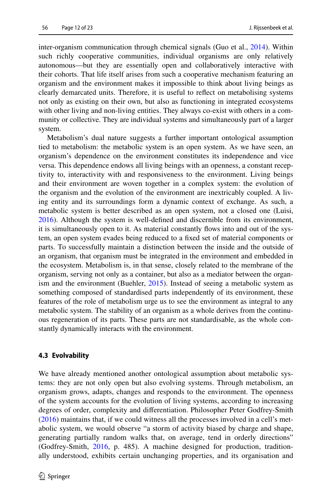inter-organism communication through chemical signals (Guo et al., [2014\)](#page-21-19). Within such richly cooperative communities, individual organisms are only relatively autonomous—but they are essentially open and collaboratively interactive with their cohorts. That life itself arises from such a cooperative mechanism featuring an organism and the environment makes it impossible to think about living beings as clearly demarcated units. Therefore, it is useful to refect on metabolising systems not only as existing on their own, but also as functioning in integrated ecosystems with other living and non-living entities. They always co-exist with others in a community or collective. They are individual systems and simultaneously part of a larger system.

Metabolism's dual nature suggests a further important ontological assumption tied to metabolism: the metabolic system is an open system. As we have seen, an organism's dependence on the environment constitutes its independence and vice versa. This dependence endows all living beings with an openness, a constant receptivity to, interactivity with and responsiveness to the environment. Living beings and their environment are woven together in a complex system: the evolution of the organism and the evolution of the environment are inextricably coupled. A living entity and its surroundings form a dynamic context of exchange. As such, a metabolic system is better described as an open system, not a closed one (Luisi, [2016](#page-21-20)). Although the system is well-defned and discernible from its environment, it is simultaneously open to it. As material constantly fows into and out of the system, an open system evades being reduced to a fxed set of material components or parts. To successfully maintain a distinction between the inside and the outside of an organism, that organism must be integrated in the environment and embedded in the ecosystem. Metabolism is, in that sense, closely related to the membrane of the organism, serving not only as a container, but also as a mediator between the organ-ism and the environment (Buehler, [2015](#page-20-21)). Instead of seeing a metabolic system as something composed of standardised parts independently of its environment, these features of the role of metabolism urge us to see the environment as integral to any metabolic system. The stability of an organism as a whole derives from the continuous regeneration of its parts. These parts are not standardisable, as the whole constantly dynamically interacts with the environment.

### **4.3 Evolvability**

We have already mentioned another ontological assumption about metabolic systems: they are not only open but also evolving systems. Through metabolism, an organism grows, adapts, changes and responds to the environment. The openness of the system accounts for the evolution of living systems, according to increasing degrees of order, complexity and diferentiation. Philosopher Peter Godfrey-Smith [\(2016\)](#page-21-17) maintains that, if we could witness all the processes involved in a cell's metabolic system, we would observe "a storm of activity biased by charge and shape, generating partially random walks that, on average, tend in orderly directions" (Godfrey-Smith, [2016](#page-21-17), p. 485). A machine designed for production, traditionally understood, exhibits certain unchanging properties, and its organisation and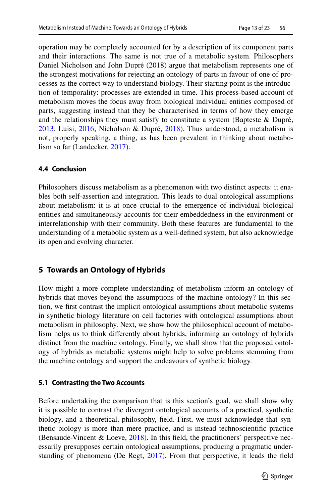operation may be completely accounted for by a description of its component parts and their interactions. The same is not true of a metabolic system. Philosophers Daniel Nicholson and John Dupré (2018) argue that metabolism represents one of the strongest motivations for rejecting an ontology of parts in favour of one of processes as the correct way to understand biology. Their starting point is the introduction of temporality: processes are extended in time. This process-based account of metabolism moves the focus away from biological individual entities composed of parts, suggesting instead that they be characterised in terms of how they emerge and the relationships they must satisfy to constitute a system (Bapteste & Dupré, [2013](#page-20-22); Luisi, [2016;](#page-21-20) Nicholson & Dupré, [2018\)](#page-21-21). Thus understood, a metabolism is not, properly speaking, a thing, as has been prevalent in thinking about metabolism so far (Landecker, [2017\)](#page-21-22).

# **4.4 Conclusion**

Philosophers discuss metabolism as a phenomenon with two distinct aspects: it enables both self-assertion and integration. This leads to dual ontological assumptions about metabolism: it is at once crucial to the emergence of individual biological entities and simultaneously accounts for their embeddedness in the environment or interrelationship with their community. Both these features are fundamental to the understanding of a metabolic system as a well-defned system, but also acknowledge its open and evolving character.

# **5 Towards an Ontology of Hybrids**

How might a more complete understanding of metabolism inform an ontology of hybrids that moves beyond the assumptions of the machine ontology? In this section, we frst contrast the implicit ontological assumptions about metabolic systems in synthetic biology literature on cell factories with ontological assumptions about metabolism in philosophy. Next, we show how the philosophical account of metabolism helps us to think diferently about hybrids, informing an ontology of hybrids distinct from the machine ontology. Finally, we shall show that the proposed ontology of hybrids as metabolic systems might help to solve problems stemming from the machine ontology and support the endeavours of synthetic biology.

# **5.1 Contrasting the Two Accounts**

Before undertaking the comparison that is this section's goal, we shall show why it is possible to contrast the divergent ontological accounts of a practical, synthetic biology, and a theoretical, philosophy, feld. First, we must acknowledge that synthetic biology is more than mere practice, and is instead technoscientifc practice (Bensaude-Vincent & Loeve, [2018\)](#page-20-9). In this feld, the practitioners' perspective necessarily presupposes certain ontological assumptions, producing a pragmatic understanding of phenomena (De Regt, [2017\)](#page-20-23). From that perspective, it leads the feld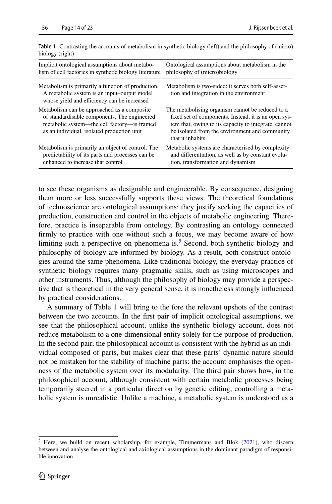| Implicit ontological assumptions about metabo-<br>lism of cell factories in synthetic biology literature                                                                                  | Ontological assumptions about metabolism in the<br>philosophy of (micro)biology                                                                                                                                                        |
|-------------------------------------------------------------------------------------------------------------------------------------------------------------------------------------------|----------------------------------------------------------------------------------------------------------------------------------------------------------------------------------------------------------------------------------------|
| Metabolism is primarily a function of production.<br>A metabolic system is an input-output model<br>whose yield and efficiency can be increased                                           | Metabolism is two-sided: it serves both self-asser-<br>tion and integration in the environment                                                                                                                                         |
| Metabolism can be approached as a composite.<br>of standardisable components. The engineered<br>metabolic system—the cell factory—is framed<br>as an individual, isolated production unit | The metabolising organism cannot be reduced to a<br>fixed set of components. Instead, it is an open sys-<br>tem that, owing to its capacity to integrate, cannot<br>be isolated from the environment and community<br>that it inhabits |
| Metabolism is primarily an object of control. The<br>predictability of its parts and processes can be<br>enhanced to increase that control                                                | Metabolic systems are characterised by complexity<br>and differentiation, as well as by constant evolu-<br>tion, transformation and dynamism                                                                                           |

<span id="page-13-1"></span>**Table 1** Contrasting the accounts of metabolism in synthetic biology (left) and the philosophy of (micro) biology (right)

to see these organisms as designable and engineerable. By consequence, designing them more or less successfully supports these views. The theoretical foundations of technoscience are ontological assumptions: they justify seeking the capacities of production, construction and control in the objects of metabolic engineering. Therefore, practice is inseparable from ontology. By contrasting an ontology connected frmly to practice with one without such a focus, we may become aware of how limiting such a perspective on phenomena is.<sup>[5](#page-13-0)</sup> Second, both synthetic biology and philosophy of biology are informed by biology. As a result, both construct ontologies around the same phenomena. Like traditional biology, the everyday practice of synthetic biology requires many pragmatic skills, such as using microscopes and other instruments. Thus, although the philosophy of biology may provide a perspective that is theoretical in the very general sense, it is nonetheless strongly infuenced by practical considerations.

A summary of Table [1](#page-13-1) will bring to the fore the relevant upshots of the contrast between the two accounts. In the frst pair of implicit ontological assumptions, we see that the philosophical account, unlike the synthetic biology account, does not reduce metabolism to a one-dimensional entity solely for the purpose of production. In the second pair, the philosophical account is consistent with the hybrid as an individual composed of parts, but makes clear that these parts' dynamic nature should not be mistaken for the stability of machine parts: the account emphasises the openness of the metabolic system over its modularity. The third pair shows how, in the philosophical account, although consistent with certain metabolic processes being temporarily steered in a particular direction by genetic editing, controlling a metabolic system is unrealistic. Unlike a machine, a metabolic system is understood as a

<span id="page-13-0"></span><sup>5</sup> Here, we build on recent scholarship, for example, Timmermans and Blok [\(2021](#page-22-14)), who discern between and analyse the ontological and axiological assumptions in the dominant paradigm of responsible innovation.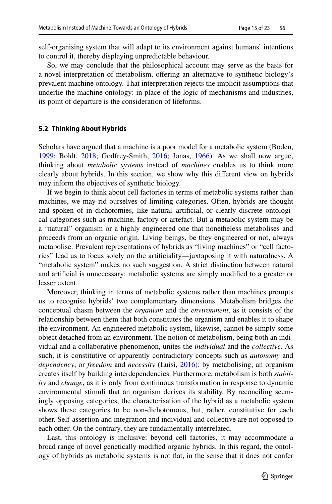self-organising system that will adapt to its environment against humans' intentions to control it, thereby displaying unpredictable behaviour.

So, we may conclude that the philosophical account may serve as the basis for a novel interpretation of metabolism, ofering an alternative to synthetic biology's prevalent machine ontology. That interpretation rejects the implicit assumptions that underlie the machine ontology: in place of the logic of mechanisms and industries, its point of departure is the consideration of lifeforms.

### **5.2 Thinking About Hybrids**

Scholars have argued that a machine is a poor model for a metabolic system (Boden, [1999](#page-20-24); Boldt, [2018](#page-20-10); Godfrey-Smith, [2016;](#page-21-17) Jonas, [1966\)](#page-21-15). As we shall now argue, thinking about *metabolic systems* instead of *machines* enables us to think more clearly about hybrids. In this section, we show why this diferent view on hybrids may inform the objectives of synthetic biology.

If we begin to think about cell factories in terms of metabolic systems rather than machines, we may rid ourselves of limiting categories. Often, hybrids are thought and spoken of in dichotomies, like natural–artifcial, or clearly discrete ontological categories such as machine, factory or artefact. But a metabolic system may be a "natural" organism or a highly engineered one that nonetheless metabolises and proceeds from an organic origin. Living beings, be they engineered or not, always metabolise. Prevalent representations of hybrids as "living machines" or "cell factories" lead us to focus solely on the artifciality—juxtaposing it with naturalness. A "metabolic system" makes no such suggestion. A strict distinction between natural and artifcial is unnecessary: metabolic systems are simply modifed to a greater or lesser extent.

Moreover, thinking in terms of metabolic systems rather than machines prompts us to recognise hybrids' two complementary dimensions. Metabolism bridges the conceptual chasm between the *organism* and the *environment*, as it consists of the relationship between them that both constitutes the organism and enables it to shape the environment. An engineered metabolic system, likewise, cannot be simply some object detached from an environment. The notion of metabolism, being both an individual and a collaborative phenomenon, unites the *individual* and the *collective*. As such, it is constitutive of apparently contradictory concepts such as *autonomy* and *dependency*, or *freedom* and *necessity* (Luisi, [2016](#page-21-20)): by metabolising, an organism creates itself by building interdependencies. Furthermore, metabolism is both *stability* and *change*, as it is only from continuous transformation in response to dynamic environmental stimuli that an organism derives its stability. By reconciling seemingly opposing categories, the characterisation of the hybrid as a metabolic system shows these categories to be non-dichotomous, but, rather, constitutive for each other. Self-assertion and integration and individual and collective are not opposed to each other. On the contrary, they are fundamentally interrelated.

Last, this ontology is inclusive: beyond cell factories, it may accommodate a broad range of novel genetically modifed organic hybrids. In this regard, the ontology of hybrids as metabolic systems is not fat, in the sense that it does not confer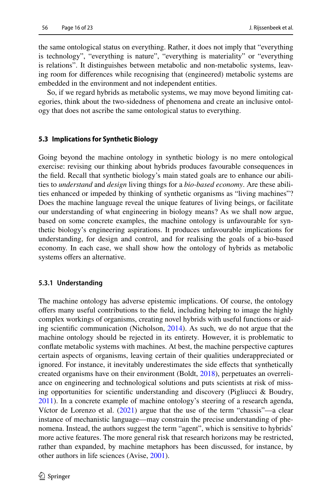the same ontological status on everything. Rather, it does not imply that "everything is technology", "everything is nature", "everything is materiality" or "everything is relations". It distinguishes between metabolic and non-metabolic systems, leaving room for diferences while recognising that (engineered) metabolic systems are embedded in the environment and not independent entities.

So, if we regard hybrids as metabolic systems, we may move beyond limiting categories, think about the two-sidedness of phenomena and create an inclusive ontology that does not ascribe the same ontological status to everything.

### **5.3 Implications for Synthetic Biology**

Going beyond the machine ontology in synthetic biology is no mere ontological exercise: revising our thinking about hybrids produces favourable consequences in the feld. Recall that synthetic biology's main stated goals are to enhance our abilities to *understand* and *design* living things for a *bio-based economy*. Are these abilities enhanced or impeded by thinking of synthetic organisms as "living machines"? Does the machine language reveal the unique features of living beings, or facilitate our understanding of what engineering in biology means? As we shall now argue, based on some concrete examples, the machine ontology is unfavourable for synthetic biology's engineering aspirations. It produces unfavourable implications for understanding, for design and control, and for realising the goals of a bio-based economy. In each case, we shall show how the ontology of hybrids as metabolic systems offers an alternative.

#### **5.3.1 Understanding**

The machine ontology has adverse epistemic implications. Of course, the ontology ofers many useful contributions to the feld, including helping to image the highly complex workings of organisms, creating novel hybrids with useful functions or aiding scientifc communication (Nicholson, [2014\)](#page-21-7). As such, we do not argue that the machine ontology should be rejected in its entirety*.* However, it is problematic to confate metabolic systems with machines. At best, the machine perspective captures certain aspects of organisms, leaving certain of their qualities underappreciated or ignored. For instance, it inevitably underestimates the side efects that synthetically created organisms have on their environment (Boldt, [2018\)](#page-20-10), perpetuates an overreliance on engineering and technological solutions and puts scientists at risk of missing opportunities for scientifc understanding and discovery (Pigliucci & Boudry, [2011](#page-22-17)). In a concrete example of machine ontology's steering of a research agenda, Víctor de Lorenzo et al.  $(2021)$  $(2021)$  argue that the use of the term "chassis"—a clear instance of mechanistic language—may constrain the precise understanding of phenomena. Instead, the authors suggest the term "agent", which is sensitive to hybrids' more active features. The more general risk that research horizons may be restricted, rather than expanded, by machine metaphors has been discussed, for instance, by other authors in life sciences (Avise, [2001\)](#page-19-1).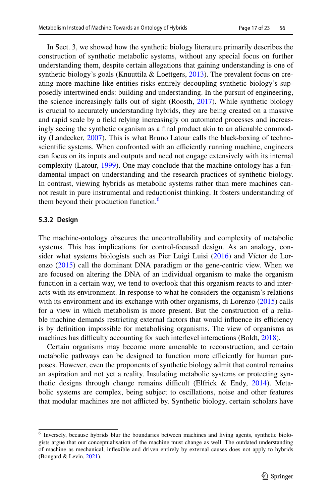In Sect. 3, we showed how the synthetic biology literature primarily describes the construction of synthetic metabolic systems, without any special focus on further understanding them, despite certain allegations that gaining understanding is one of synthetic biology's goals (Knuuttila & Loettgers, [2013](#page-21-6)). The prevalent focus on creating more machine-like entities risks entirely decoupling synthetic biology's supposedly intertwined ends: building and understanding. In the pursuit of engineering, the science increasingly falls out of sight (Roosth, [2017\)](#page-22-18). While synthetic biology is crucial to accurately understanding hybrids, they are being created on a massive and rapid scale by a feld relying increasingly on automated processes and increasingly seeing the synthetic organism as a fnal product akin to an alienable commodity (Landecker, [2007](#page-21-23)). This is what Bruno Latour calls the black-boxing of technoscientific systems. When confronted with an efficiently running machine, engineers can focus on its inputs and outputs and need not engage extensively with its internal complexity (Latour, [1999\)](#page-21-24). One may conclude that the machine ontology has a fundamental impact on understanding and the research practices of synthetic biology. In contrast, viewing hybrids as metabolic systems rather than mere machines cannot result in pure instrumental and reductionist thinking. It fosters understanding of them beyond their production function.<sup>[6](#page-16-1)</sup>

## <span id="page-16-0"></span>**5.3.2 Design**

The machine-ontology obscures the uncontrollability and complexity of metabolic systems. This has implications for control-focused design. As an analogy, consider what systems biologists such as Pier Luigi Luisi ([2016\)](#page-21-20) and Víctor de Lorenzo  $(2015)$  $(2015)$  call the dominant DNA paradigm or the gene-centric view. When we are focused on altering the DNA of an individual organism to make the organism function in a certain way, we tend to overlook that this organism reacts to and interacts with its environment. In response to what he considers the organism's relations with its environment and its exchange with other organisms, di Lorenzo [\(2015](#page-20-26)) calls for a view in which metabolism is more present. But the construction of a reliable machine demands restricting external factors that would influence its efficiency is by defnition impossible for metabolising organisms. The view of organisms as machines has difficulty accounting for such interlevel interactions (Boldt, [2018\)](#page-20-10).

Certain organisms may become more amenable to reconstruction, and certain metabolic pathways can be designed to function more efficiently for human purposes. However, even the proponents of synthetic biology admit that control remains an aspiration and not yet a reality. Insulating metabolic systems or protecting synthetic designs through change remains difficult (Elfrick  $\&$  Endy, [2014](#page-21-25)). Metabolic systems are complex, being subject to oscillations, noise and other features that modular machines are not aficted by. Synthetic biology, certain scholars have

<span id="page-16-1"></span><sup>6</sup> Inversely, because hybrids blur the boundaries between machines and living agents, synthetic biologists argue that our conceptualisation of the machine must change as well. The outdated understanding of machine as mechanical, infexible and driven entirely by external causes does not apply to hybrids (Bongard & Levin, [2021\)](#page-20-2).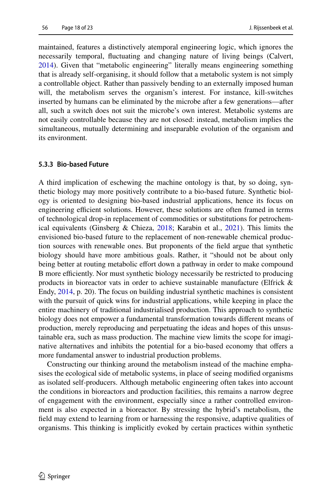maintained, features a distinctively atemporal engineering logic, which ignores the necessarily temporal, fuctuating and changing nature of living beings (Calvert, [2014](#page-20-27)). Given that "metabolic engineering" literally means engineering something that is already self-organising, it should follow that a metabolic system is not simply a controllable object. Rather than passively bending to an externally imposed human will, the metabolism serves the organism's interest. For instance, kill-switches inserted by humans can be eliminated by the microbe after a few generations—after all, such a switch does not suit the microbe's own interest. Metabolic systems are not easily controllable because they are not closed: instead, metabolism implies the simultaneous, mutually determining and inseparable evolution of the organism and its environment.

#### **5.3.3 Bio‑based Future**

A third implication of eschewing the machine ontology is that, by so doing, synthetic biology may more positively contribute to a bio-based future. Synthetic biology is oriented to designing bio-based industrial applications, hence its focus on engineering efficient solutions. However, these solutions are often framed in terms of technological drop-in replacement of commodities or substitutions for petrochemical equivalents (Ginsberg & Chieza, [2018](#page-21-26); Karabin et al., [2021\)](#page-21-27). This limits the envisioned bio-based future to the replacement of non-renewable chemical production sources with renewable ones. But proponents of the feld argue that synthetic biology should have more ambitious goals. Rather, it "should not be about only being better at routing metabolic effort down a pathway in order to make compound B more efficiently. Nor must synthetic biology necessarily be restricted to producing products in bioreactor vats in order to achieve sustainable manufacture (Elfrick & Endy, [2014,](#page-21-25) p. 20). The focus on building industrial synthetic machines is consistent with the pursuit of quick wins for industrial applications, while keeping in place the entire machinery of traditional industrialised production. This approach to synthetic biology does not empower a fundamental transformation towards diferent means of production, merely reproducing and perpetuating the ideas and hopes of this unsustainable era, such as mass production. The machine view limits the scope for imaginative alternatives and inhibits the potential for a bio-based economy that ofers a more fundamental answer to industrial production problems.

Constructing our thinking around the metabolism instead of the machine emphasises the ecological side of metabolic systems, in place of seeing modifed organisms as isolated self-producers. Although metabolic engineering often takes into account the conditions in bioreactors and production facilities, this remains a narrow degree of engagement with the environment, especially since a rather controlled environment is also expected in a bioreactor. By stressing the hybrid's metabolism, the feld may extend to learning from or harnessing the responsive, adaptive qualities of organisms. This thinking is implicitly evoked by certain practices within synthetic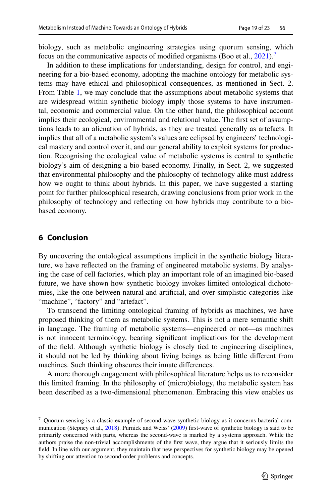biology, such as metabolic engineering strategies using quorum sensing, which focus on the communicative aspects of modified organisms (Boo et al.,  $2021$ ).<sup>7</sup>

In addition to these implications for understanding, design for control, and engineering for a bio-based economy, adopting the machine ontology for metabolic systems may have ethical and philosophical consequences, as mentioned in Sect. 2. From Table [1](#page-13-1), we may conclude that the assumptions about metabolic systems that are widespread within synthetic biology imply those systems to have instrumental, economic and commercial value. On the other hand, the philosophical account implies their ecological, environmental and relational value. The frst set of assumptions leads to an alienation of hybrids, as they are treated generally as artefacts. It implies that all of a metabolic system's values are eclipsed by engineers' technological mastery and control over it, and our general ability to exploit systems for production. Recognising the ecological value of metabolic systems is central to synthetic biology's aim of designing a bio-based economy. Finally, in Sect. 2, we suggested that environmental philosophy and the philosophy of technology alike must address how we ought to think about hybrids. In this paper, we have suggested a starting point for further philosophical research, drawing conclusions from prior work in the philosophy of technology and refecting on how hybrids may contribute to a biobased economy.

## **6 Conclusion**

By uncovering the ontological assumptions implicit in the synthetic biology literature, we have refected on the framing of engineered metabolic systems. By analysing the case of cell factories, which play an important role of an imagined bio-based future, we have shown how synthetic biology invokes limited ontological dichotomies, like the one between natural and artifcial, and over-simplistic categories like "machine", "factory" and "artefact".

To transcend the limiting ontological framing of hybrids as machines, we have proposed thinking of them as metabolic systems. This is not a mere semantic shift in language. The framing of metabolic systems—engineered or not—as machines is not innocent terminology, bearing signifcant implications for the development of the feld. Although synthetic biology is closely tied to engineering disciplines, it should not be led by thinking about living beings as being little diferent from machines. Such thinking obscures their innate diferences.

A more thorough engagement with philosophical literature helps us to reconsider this limited framing. In the philosophy of (micro)biology, the metabolic system has been described as a two-dimensional phenomenon. Embracing this view enables us

<span id="page-18-0"></span><sup>7</sup> Quorum sensing is a classic example of second-wave synthetic biology as it concerns bacterial com-munication (Stepney et al., [2018](#page-22-19)). Purnick and Weiss' [\(2009](#page-22-8)) first-wave of synthetic biology is said to be primarily concerned with parts, whereas the second-wave is marked by a systems approach. While the authors praise the non-trivial accomplishments of the frst wave, they argue that it seriously limits the feld. In line with our argument, they maintain that new perspectives for synthetic biology may be opened by shifting our attention to second-order problems and concepts.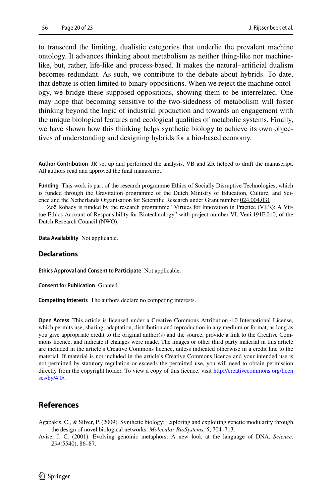to transcend the limiting, dualistic categories that underlie the prevalent machine ontology. It advances thinking about metabolism as neither thing-like nor machinelike, but, rather, life-like and process-based. It makes the natural–artifcial dualism becomes redundant. As such, we contribute to the debate about hybrids. To date, that debate is often limited to binary oppositions. When we reject the machine ontology, we bridge these supposed oppositions, showing them to be interrelated. One may hope that becoming sensitive to the two-sidedness of metabolism will foster thinking beyond the logic of industrial production and towards an engagement with the unique biological features and ecological qualities of metabolic systems. Finally, we have shown how this thinking helps synthetic biology to achieve its own objectives of understanding and designing hybrids for a bio-based economy.

**Author Contribution** JR set up and performed the analysis. VB and ZR helped to draft the manuscript. All authors read and approved the fnal manuscript.

**Funding** This work is part of the research programme Ethics of Socially Disruptive Technologies, which is funded through the Gravitation programme of the Dutch Ministry of Education, Culture, and Science and the Netherlands Organisation for Scientifc Research under Grant number 024.004.031.

Zoë Robaey is funded by the research programme "Virtues for Innovation in Practice (VIPs): A Virtue Ethics Account of Responsibility for Biotechnology" with project number VI. Veni.191F.010, of the Dutch Research Council (NWO).

**Data Availability** Not applicable.

### **Declarations**

**Ethics Approval and Consent to Participate** Not applicable.

**Consent for Publication** Granted.

**Competing Interests** The authors declare no competing interests.

**Open Access** This article is licensed under a Creative Commons Attribution 4.0 International License, which permits use, sharing, adaptation, distribution and reproduction in any medium or format, as long as you give appropriate credit to the original author(s) and the source, provide a link to the Creative Commons licence, and indicate if changes were made. The images or other third party material in this article are included in the article's Creative Commons licence, unless indicated otherwise in a credit line to the material. If material is not included in the article's Creative Commons licence and your intended use is not permitted by statutory regulation or exceeds the permitted use, you will need to obtain permission directly from the copyright holder. To view a copy of this licence, visit [http://creativecommons.org/licen](http://creativecommons.org/licenses/by/4.0/) [ses/by/4.0/](http://creativecommons.org/licenses/by/4.0/).

# **References**

<span id="page-19-0"></span>Agapakis, C., & Silver, P. (2009). Synthetic biology: Exploring and exploiting genetic modularity through the design of novel biological networks. *Molecular BioSystems, 5*, 704–713.

<span id="page-19-1"></span>Avise, J. C. (2001). Evolving genomic metaphors: A new look at the language of DNA. *Science, 294*(5540), 86–87.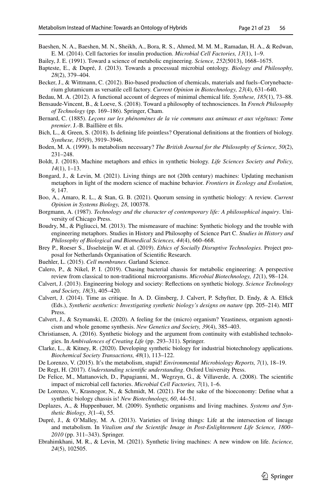<span id="page-20-4"></span>Baeshen, N. A., Baeshen, M. N., Sheikh, A., Bora, R. S., Ahmed, M. M. M., Ramadan, H. A., & Redwan, E. M. (2014). Cell factories for insulin production. *Microbial Cell Factories, 13*(1), 1–9.

<span id="page-20-8"></span>Bailey, J. E. (1991). Toward a science of metabolic engineering. *Science, 252*(5013), 1668–1675.

- <span id="page-20-22"></span>Bapteste, E., & Dupré, J. (2013). Towards a processual microbial ontology. *Biology and Philosophy, 28*(2), 379–404.
- <span id="page-20-14"></span>Becker, J., & Wittmann, C. (2012). Bio-based production of chemicals, materials and fuels–Corynebacterium glutamicum as versatile cell factory. *Current Opinion in Biotechnology, 23*(4), 631–640.
- <span id="page-20-19"></span>Bedau, M. A. (2012). A functional account of degrees of minimal chemical life. *Synthese, 185*(1), 73–88.
- <span id="page-20-9"></span>Bensaude-Vincent, B., & Loeve, S. (2018). Toward a philosophy of technosciences. In *French Philosophy of Technology* (pp. 169–186). Springer, Cham.
- <span id="page-20-7"></span>Bernard, C. (1885). *Leçons sur les phénomènes de la vie communs aux animaux et aux végétaux: Tome premier*. J.-B. Baillière et fls.
- <span id="page-20-20"></span>Bich, L., & Green, S. (2018). Is defning life pointless? Operational defnitions at the frontiers of biology. *Synthese, 195*(9), 3919–3946.
- <span id="page-20-24"></span>Boden, M. A. (1999). Is metabolism necessary? *The British Journal for the Philosophy of Science, 50*(2), 231–248.
- <span id="page-20-10"></span>Boldt, J. (2018). Machine metaphors and ethics in synthetic biology. *Life Sciences Society and Policy, 14*(1), 1–13.
- <span id="page-20-2"></span>Bongard, J., & Levin, M. (2021). Living things are not (20th century) machines: Updating mechanism metaphors in light of the modern science of machine behavior. *Frontiers in Ecology and Evolution, 9*, 147.
- <span id="page-20-28"></span>Boo, A., Amaro, R. L., & Stan, G. B. (2021). Quorum sensing in synthetic biology: A review. *Current Opinion in Systems Biology, 28*, 100378.
- <span id="page-20-16"></span>Borgmann, A. (1987). *Technology and the character of contemporary life: A philosophical inquiry*. University of Chicago Press.
- <span id="page-20-13"></span>Boudry, M., & Pigliucci, M. (2013). The mismeasure of machine: Synthetic biology and the trouble with engineering metaphors. Studies in History and Philosophy of Science Part C. *Studies in History and Philosophy of Biological and Biomedical Sciences, 44*(4), 660–668.
- <span id="page-20-0"></span>Brey P., Roeser S., IJsselsteijn W. et al. (2019). *Ethics of Socially Disruptive Technologies.* Project proposal for Netherlands Organisation of Scientifc Research.
- <span id="page-20-21"></span>Buehler, L. (2015). *Cell membranes.* Garland Science.
- <span id="page-20-15"></span>Calero, P., & Nikel, P. I. (2019). Chasing bacterial chassis for metabolic engineering: A perspective review from classical to non-traditional microorganisms. *Microbial Biotechnology, 12*(1), 98–124.
- <span id="page-20-12"></span>Calvert, J. (2013). Engineering biology and society: Refections on synthetic biology. *Science Technology and Society, 18*(3), 405–420.
- <span id="page-20-27"></span>Calvert, J. (2014). Time as critique. In A. D. Ginsberg, J. Calvert, P. Schyfter, D. Endy, & A. Elfck (Eds.), *Synthetic aesthetics: Investigating synthetic biology's designs on nature* (pp. 205–214). MIT Press.
- <span id="page-20-17"></span>Calvert, J., & Szymanski, E. (2020). A feeling for the (micro) organism? Yeastiness, organism agnosticism and whole genome synthesis. *New Genetics and Society, 39*(4), 385–403.
- <span id="page-20-3"></span>Christiansen, A. (2016). Synthetic biology and the argument from continuity with established technologies. In *Ambivalences of Creating Life* (pp. 293–311). Springer.
- <span id="page-20-5"></span>Clarke, L., & Kitney, R. (2020). Developing synthetic biology for industrial biotechnology applications. *Biochemical Society Transactions, 48*(1), 113–122.
- <span id="page-20-26"></span>De Lorenzo, V. (2015). It's the metabolism, stupid! *Environmental Microbiology Reports, 7*(1), 18–19.
- <span id="page-20-23"></span>De Regt, H. (2017). *Understanding scientifc understanding*. Oxford University Press.
- <span id="page-20-6"></span>De Felice, M., Mattanovich, D., Papagianni, M., Wegrzyn, G., & Villaverde, A. (2008). The scientifc impact of microbial cell factories. *Microbial Cell Factories, 7*(1), 1–6.
- <span id="page-20-25"></span>De Lorenzo, V., Krasnogor, N., & Schmidt, M. (2021). For the sake of the bioeconomy: Defne what a synthetic biology chassis is! *New Biotechnology, 60*, 44–51.
- <span id="page-20-1"></span>Deplazes, A., & Huppenbauer, M. (2009). Synthetic organisms and living machines. *Systems and Synthetic Biology, 3*(1–4), 55.
- <span id="page-20-11"></span>Dupré, J., & O'Malley, M. A. (2013). Varieties of living things: Life at the intersection of lineage and metabolism. In *Vitalism and the Scientifc Image in Post-Enlightenment Life Science, 1800– 2010* (pp. 311–343). Springer.
- <span id="page-20-18"></span>Ebrahimkhani, M. R., & Levin, M. (2021). Synthetic living machines: A new window on life. *Iscience, 24*(5), 102505.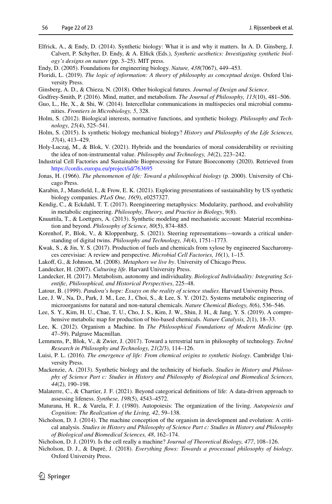- <span id="page-21-25"></span>Elfrick, A., & Endy, D. (2014). Synthetic biology: What it is and why it matters. In A. D. Ginsberg, J. Calvert, P. Schyfter, D. Endy, & A. Elfck (Eds.), *Synthetic aesthetics: Investigating synthetic biology's designs on nature* (pp. 3–25). MIT press.
- <span id="page-21-5"></span>Endy, D. (2005). Foundations for engineering biology. *Nature, 438*(7067), 449–453.
- Floridi, L. (2019). *The logic of information: A theory of philosophy as conceptual design*. Oxford University Press.
- <span id="page-21-26"></span>Ginsberg, A. D., & Chieza, N. (2018). Other biological futures. *Journal of Design and Science*.
- <span id="page-21-17"></span>Godfrey-Smith, P. (2016). Mind, matter, and metabolism. *The Journal of Philosophy, 113*(10), 481–506.
- <span id="page-21-19"></span>Guo, L., He, X., & Shi, W. (2014). Intercellular communications in multispecies oral microbial communities. *Frontiers in Microbiology, 5*, 328.
- <span id="page-21-0"></span>Holm, S. (2012). Biological interests, normative functions, and synthetic biology. *Philosophy and Technology, 25*(4), 525–541.
- <span id="page-21-14"></span>Holm, S. (2015). Is synthetic biology mechanical biology? *History and Philosophy of the Life Sciences, 37*(4), 413–429.
- <span id="page-21-1"></span>Holy-Luczaj, M., & Blok, V. (2021). Hybrids and the boundaries of moral considerability or revisiting the idea of non-instrumental value. *Philosophy and Technology, 34*(2), 223–242.
- Industrial Cell Factories and Sustainable Bioprocessing for Future Bioeconomy (2020). Retrieved from <https://cordis.europa.eu/project/id/763695>
- <span id="page-21-15"></span>Jonas, H. (1966). *The phenomenon of life: Toward a philosophical biology* (p. 2000). University of Chicago Press.
- <span id="page-21-27"></span>Karabin, J., Mansfeld, I., & Frow, E. K. (2021). Exploring presentations of sustainability by US synthetic biology companies. *PLoS One, 16*(9), e0257327.
- <span id="page-21-11"></span>Kendig, C., & Eckdahl, T. T. (2017). Reengineering metaphysics: Modularity, parthood, and evolvability in metabolic engineering. *Philosophy, Theory, and Practice in Biology*, 9(8).
- <span id="page-21-6"></span>Knuuttila, T., & Loettgers, A. (2013). Synthetic modeling and mechanistic account: Material recombination and beyond. *Philosophy of Science, 80*(5), 874–885.
- <span id="page-21-10"></span>Korenhof, P., Blok, V., & Kloppenburg, S. (2021). Steering representations—towards a critical understanding of digital twins. *Philosophy and Technology, 34*(4), 1751–1773.
- <span id="page-21-4"></span>Kwak, S., & Jin, Y. S. (2017). Production of fuels and chemicals from xylose by engineered Saccharomyces cerevisiae: A review and perspective. *Microbial Cell Factories, 16*(1), 1–15.
- Lakof, G., & Johnson, M. (2008). *Metaphors we live by*. University of Chicago Press.
- <span id="page-21-23"></span>Landecker, H. (2007). *Culturing life*. Harvard University Press.
- <span id="page-21-22"></span>Landecker, H. (2017). Metabolism, autonomy and individuality. *Biological Individuality: Integrating Scientifc, Philosophical, and Historical Perspectives*, 225–48.
- <span id="page-21-24"></span>Latour, B. (1999). *Pandora's hope: Essays on the reality of science studies*. Harvard University Press.
- <span id="page-21-8"></span>Lee, J. W., Na, D., Park, J. M., Lee, J., Choi, S., & Lee, S. Y. (2012). Systems metabolic engineering of microorganisms for natural and non-natural chemicals. *Nature Chemical Biology, 8*(6), 536–546.
- <span id="page-21-9"></span>Lee, S. Y., Kim, H. U., Chae, T. U., Cho, J. S., Kim, J. W., Shin, J. H., & Jang, Y. S. (2019). A comprehensive metabolic map for production of bio-based chemicals. *Nature Catalysis, 2*(1), 18–33.
- <span id="page-21-2"></span>Lee, K. (2012). Organism a Machine. In *The Philosophical Foundations of Modern Medicine* (pp. 47–59). Palgrave Macmillan.
- <span id="page-21-3"></span>Lemmens, P., Blok, V., & Zwier, J. (2017). Toward a terrestrial turn in philosophy of technology. *Techné Research in Philosophy and Technology, 21*(2/3), 114–126.
- <span id="page-21-20"></span>Luisi, P. L. (2016). *The emergence of life: From chemical origins to synthetic biology*. Cambridge University Press.
- <span id="page-21-12"></span>Mackenzie, A. (2013). Synthetic biology and the technicity of biofuels. *Studies in History and Philosophy of Science Part c: Studies in History and Philosophy of Biological and Biomedical Sciences, 44*(2), 190–198.
- <span id="page-21-16"></span>Malaterre, C., & Chartier, J. F. (2021). Beyond categorical defnitions of life: A data-driven approach to assessing lifeness. *Synthese, 198*(5), 4543–4572.
- <span id="page-21-18"></span>Maturana, H. R., & Varela, F. J. (1980). Autopoiesis: The organization of the living. *Autopoiesis and Cognition: The Realization of the Living, 42*, 59–138.
- <span id="page-21-7"></span>Nicholson, D. J. (2014). The machine conception of the organism in development and evolution: A critical analysis. *Studies in History and Philosophy of Science Part c: Studies in History and Philosophy of Biological and Biomedical Sciences, 48*, 162–174.
- <span id="page-21-13"></span>Nicholson, D. J. (2019). Is the cell really a machine? *Journal of Theoretical Biology, 477*, 108–126.
- <span id="page-21-21"></span>Nicholson, D. J., & Dupré, J. (2018). *Everything fows: Towards a processual philosophy of biology*. Oxford University Press.